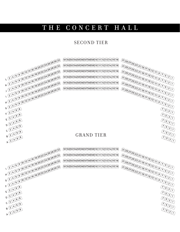# THE CONCERT HALL

#### second tier



 $E = 2468$ 

 $D 2468$ 

 $C \sqrt{2468}$ 

 $B$   $2468$ 

 $\mathbb{Z}^{68}$ 

2 A

 $\frac{7}{5}$ <br> $\frac{3}{1}$ 

 $(2)5)3)1)$ 

 $(2)5)3)1)$ 

 $\sqrt[2]{5/3}$ 

 $(2)5)3)1)$ 

 $\sqrt[2]{5/3}$